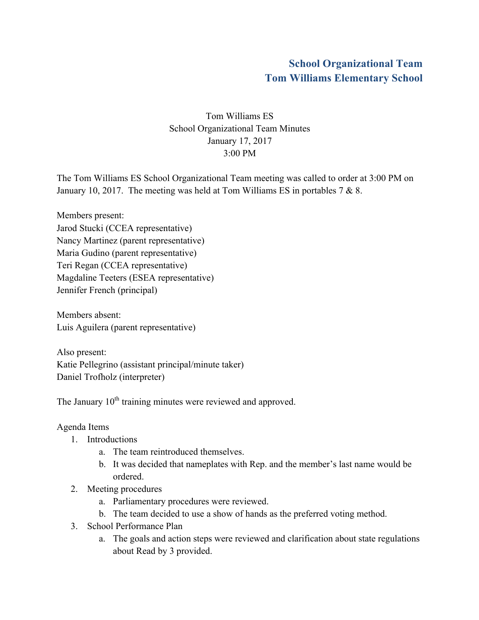## **School Organizational Team Tom Williams Elementary School**

## Tom Williams ES School Organizational Team Minutes January 17, 2017 3:00 PM

The Tom Williams ES School Organizational Team meeting was called to order at 3:00 PM on January 10, 2017. The meeting was held at Tom Williams ES in portables 7 & 8.

Members present: Jarod Stucki (CCEA representative) Nancy Martinez (parent representative) Maria Gudino (parent representative) Teri Regan (CCEA representative) Magdaline Teeters (ESEA representative) Jennifer French (principal)

Members absent: Luis Aguilera (parent representative)

Also present: Katie Pellegrino (assistant principal/minute taker) Daniel Trofholz (interpreter)

The January 10<sup>th</sup> training minutes were reviewed and approved.

## Agenda Items

- 1. Introductions
	- a. The team reintroduced themselves.
	- b. It was decided that nameplates with Rep. and the member's last name would be ordered.
- 2. Meeting procedures
	- a. Parliamentary procedures were reviewed.
	- b. The team decided to use a show of hands as the preferred voting method.
- 3. School Performance Plan
	- a. The goals and action steps were reviewed and clarification about state regulations about Read by 3 provided.